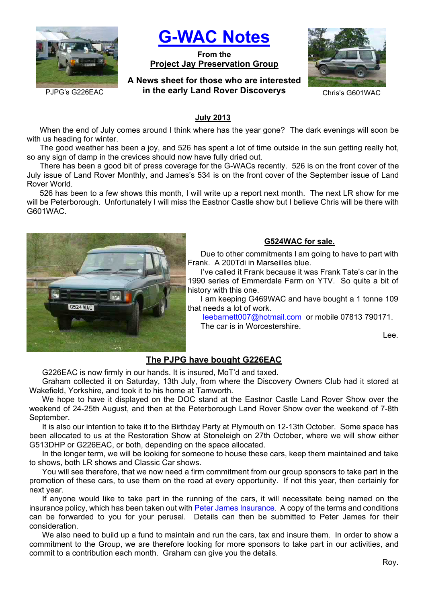

**G-WAC Notes**

**From the Project Jay Preservation Group**

**A News sheet for those who are interested**  PJPG's G226EAC **in the early Land Rover Discoverys** Chris's G601WAC



### **July 2013**

When the end of July comes around I think where has the year gone? The dark evenings will soon be with us heading for winter.

The good weather has been a joy, and 526 has spent a lot of time outside in the sun getting really hot, so any sign of damp in the crevices should now have fully dried out.

There has been a good bit of press coverage for the G-WACs recently. 526 is on the front cover of the July issue of Land Rover Monthly, and James's 534 is on the front cover of the September issue of Land Rover World.

526 has been to a few shows this month, I will write up a report next month. The next LR show for me will be Peterborough. Unfortunately I will miss the Eastnor Castle show but I believe Chris will be there with G601WAC.



#### **G524WAC for sale.**

Due to other commitments I am going to have to part with Frank. A 200Tdi in Marseilles blue.

I've called it Frank because it was Frank Tate's car in the 1990 series of Emmerdale Farm on YTV. So quite a bit of history with this one.

I am keeping G469WAC and have bought a 1 tonne 109 that needs a lot of work.

leebarnett007@hotmail.com or mobile 07813 790171. The car is in Worcestershire.

Lee.

## **The PJPG have bought G226EAC**

G226EAC is now firmly in our hands. It is insured, MoT'd and taxed.

Graham collected it on Saturday, 13th July, from where the Discovery Owners Club had it stored at Wakefield, Yorkshire, and took it to his home at Tamworth.

We hope to have it displayed on the DOC stand at the Eastnor Castle Land Rover Show over the weekend of 24-25th August, and then at the Peterborough Land Rover Show over the weekend of 7-8th September.

It is also our intention to take it to the Birthday Party at Plymouth on 12-13th October. Some space has been allocated to us at the Restoration Show at Stoneleigh on 27th October, where we will show either G513DHP or G226EAC, or both, depending on the space allocated.

In the longer term, we will be looking for someone to house these cars, keep them maintained and take to shows, both LR shows and Classic Car shows.

You will see therefore, that we now need a firm commitment from our group sponsors to take part in the promotion of these cars, to use them on the road at every opportunity. If not this year, then certainly for next year.

If anyone would like to take part in the running of the cars, it will necessitate being named on the insurance policy, which has been taken out with Peter James Insurance. A copy of the terms and conditions can be forwarded to you for your perusal. Details can then be submitted to Peter James for their consideration.

We also need to build up a fund to maintain and run the cars, tax and insure them. In order to show a commitment to the Group, we are therefore looking for more sponsors to take part in our activities, and commit to a contribution each month. Graham can give you the details.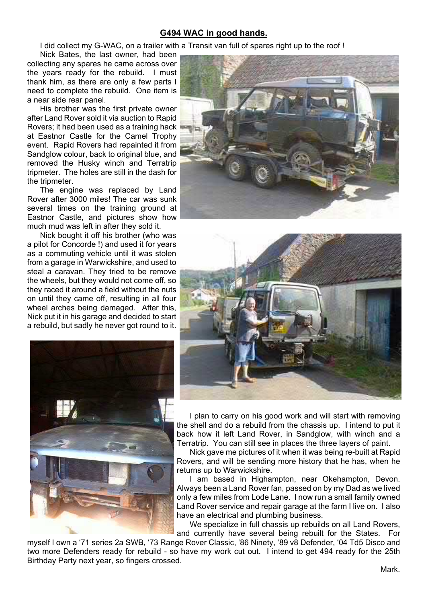## **G494 WAC in good hands.**

I did collect my G-WAC, on a trailer with a Transit van full of spares right up to the roof !

Nick Bates, the last owner, had been collecting any spares he came across over the years ready for the rebuild. I must thank him, as there are only a few parts I need to complete the rebuild. One item is a near side rear panel.

His brother was the first private owner after Land Rover sold it via auction to Rapid Rovers; it had been used as a training hack at Eastnor Castle for the Camel Trophy event. Rapid Rovers had repainted it from Sandglow colour, back to original blue, and removed the Husky winch and Terratrip tripmeter. The holes are still in the dash for the tripmeter.

The engine was replaced by Land Rover after 3000 miles! The car was sunk several times on the training ground at Eastnor Castle, and pictures show how much mud was left in after they sold it.

Nick bought it off his brother (who was a pilot for Concorde !) and used it for years as a commuting vehicle until it was stolen from a garage in Warwickshire, and used to steal a caravan. They tried to be remove the wheels, but they would not come off, so they raced it around a field without the nuts on until they came off, resulting in all four wheel arches being damaged. After this, Nick put it in his garage and decided to start a rebuild, but sadly he never got round to it.







I plan to carry on his good work and will start with removing the shell and do a rebuild from the chassis up. I intend to put it back how it left Land Rover, in Sandglow, with winch and a Terratrip. You can still see in places the three layers of paint.

Nick gave me pictures of it when it was being re-built at Rapid Rovers, and will be sending more history that he has, when he returns up to Warwickshire.

I am based in Highampton, near Okehampton, Devon. Always been a Land Rover fan, passed on by my Dad as we lived only a few miles from Lode Lane. I now run a small family owned Land Rover service and repair garage at the farm I live on. I also have an electrical and plumbing business.

We specialize in full chassis up rebuilds on all Land Rovers, and currently have several being rebuilt for the States. For

myself I own a '71 series 2a SWB, '73 Range Rover Classic, '86 Ninety, '89 v8 Defender, '04 Td5 Disco and two more Defenders ready for rebuild - so have my work cut out. I intend to get 494 ready for the 25th Birthday Party next year, so fingers crossed.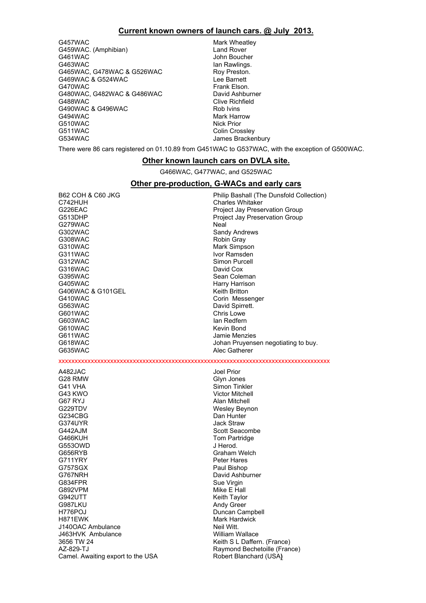#### **Current known owners of launch cars. @ July 2013.**

G457WAC Mark Wheatley G459WAC. (Amphibian) and Rover G461WAC John Boucher<br>G463WAC John Boucher<br>Jan Rawlings. G465WAC, G478WAC & G526WAC Roy Preston.<br>C469WAC & G524WAC ROY ROY Ree Barnett G469WAC & G524WAC<br>G470WAC G480WAC, G482WAC & G486WAC David Ashburner<br>G488WAC Clive Richfield G490WAC & G496WAC G494WAC Mark Harrow G510WAC Mark Harrow G510WAC Music Music Music Music Music Music Music Music Music Music Mu<br>
Mick Prior G510WAC<br>G511WAC G511WAC Colin Crossley<br>G534WAC Colin Crossley Colin Crossley<br>James Bracker

lan Rawlings. Frank Elson. Clive Richfield<br>Rob Ivins James Brackenbury

There were 86 cars registered on 01.10.89 from G451WAC to G537WAC, with the exception of G500WAC.

#### **Other known launch cars on DVLA site.**

G466WAC, G477WAC, and G525WAC

#### **Other pre-production, G-WACs and early cars**

| <b>B62 COH &amp; C60 JKG</b><br>C742HUH<br>G226EAC<br>G513DHP | Philip Bashall (The Dunsfold Collection)<br><b>Charles Whitaker</b><br>Project Jay Preservation Group<br>Project Jay Preservation Group |
|---------------------------------------------------------------|-----------------------------------------------------------------------------------------------------------------------------------------|
| G279WAC                                                       | Neal                                                                                                                                    |
| G302WAC                                                       | Sandy Andrews                                                                                                                           |
| G308WAC                                                       | Robin Gray                                                                                                                              |
| G310WAC                                                       | Mark Simpson                                                                                                                            |
| G311WAC                                                       | Ivor Ramsden                                                                                                                            |
| G312WAC                                                       | Simon Purcell                                                                                                                           |
| G316WAC                                                       | David Cox                                                                                                                               |
| G395WAC                                                       | Sean Coleman                                                                                                                            |
| G405WAC                                                       | Harry Harrison                                                                                                                          |
| G406WAC & G101GEL                                             | Keith Britton                                                                                                                           |
| G410WAC                                                       | Corin Messenger                                                                                                                         |
| G563WAC                                                       | David Spirrett.                                                                                                                         |
| G601WAC                                                       | Chris Lowe                                                                                                                              |
| G603WAC                                                       | lan Redfern                                                                                                                             |
| G610WAC                                                       | Kevin Bond                                                                                                                              |
| G611WAC                                                       | Jamie Menzies                                                                                                                           |
| G618WAC                                                       | Johan Pruyensen negotiating to buy.                                                                                                     |
| G635WAC                                                       | Alec Gatherer                                                                                                                           |
|                                                               |                                                                                                                                         |
| A482JAC                                                       | Joel Prior                                                                                                                              |
| G28 RMW                                                       | Glyn Jones                                                                                                                              |
| G41 VHA                                                       | Simon Tinkler                                                                                                                           |
| G43 KWO                                                       | <b>Victor Mitchell</b>                                                                                                                  |
| G67 RYJ                                                       | Alan Mitchell                                                                                                                           |
| G229TDV                                                       | Wesley Beynon                                                                                                                           |
| G234CBG                                                       | Dan Hunter                                                                                                                              |
| G374UYR                                                       | Jack Straw                                                                                                                              |
| G442AJM                                                       | Scott Seacombe                                                                                                                          |
| G466KUH                                                       | Tom Partridge                                                                                                                           |
| G5530WD                                                       | J Herod.                                                                                                                                |
| G656RYB                                                       | Graham Welch                                                                                                                            |
| G711YRY                                                       | <b>Peter Hares</b>                                                                                                                      |
| G757SGX                                                       | Paul Bishop                                                                                                                             |
| G767NRH                                                       | David Ashburner                                                                                                                         |
| G834FPR                                                       | Sue Virgin                                                                                                                              |
| G892VPM                                                       | Mike E Hall                                                                                                                             |
| G942UTT                                                       | Keith Taylor                                                                                                                            |
| G987LKU                                                       | Andy Greer                                                                                                                              |
| H776POJ                                                       | Duncan Campbell                                                                                                                         |
| H871EWK                                                       | <b>Mark Hardwick</b>                                                                                                                    |
| J140OAC Ambulance                                             | Neil Witt.                                                                                                                              |
| J463HVK Ambulance                                             | <b>William Wallace</b>                                                                                                                  |
| 3656 TW 24                                                    | Keith S L Daffern. (France)                                                                                                             |
| AZ-829-TJ                                                     | Raymond Bechetoille (France)                                                                                                            |
| Camel. Awaiting export to the USA                             | Robert Blanchard (USA)                                                                                                                  |